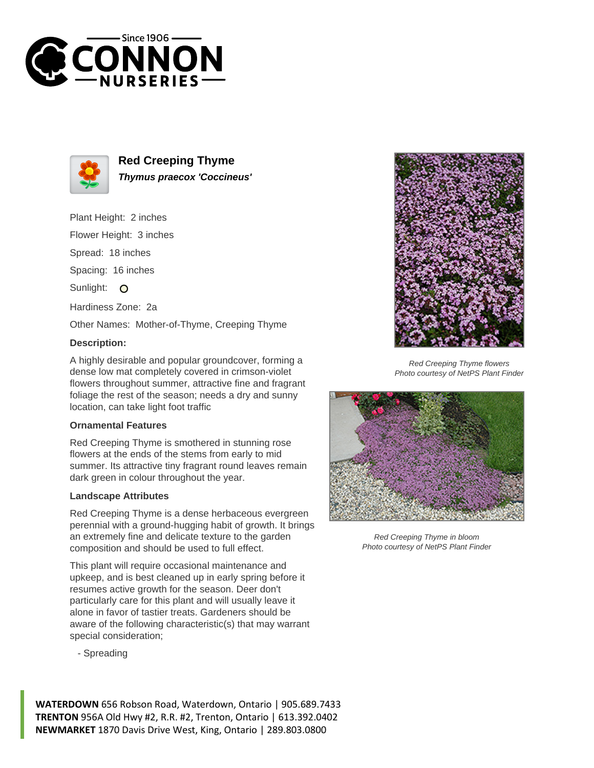



**Red Creeping Thyme Thymus praecox 'Coccineus'**

Plant Height: 2 inches

Flower Height: 3 inches

Spread: 18 inches

Spacing: 16 inches

Sunlight: O

Hardiness Zone: 2a

Other Names: Mother-of-Thyme, Creeping Thyme

## **Description:**

A highly desirable and popular groundcover, forming a dense low mat completely covered in crimson-violet flowers throughout summer, attractive fine and fragrant foliage the rest of the season; needs a dry and sunny location, can take light foot traffic

## **Ornamental Features**

Red Creeping Thyme is smothered in stunning rose flowers at the ends of the stems from early to mid summer. Its attractive tiny fragrant round leaves remain dark green in colour throughout the year.

## **Landscape Attributes**

Red Creeping Thyme is a dense herbaceous evergreen perennial with a ground-hugging habit of growth. It brings an extremely fine and delicate texture to the garden composition and should be used to full effect.

This plant will require occasional maintenance and upkeep, and is best cleaned up in early spring before it resumes active growth for the season. Deer don't particularly care for this plant and will usually leave it alone in favor of tastier treats. Gardeners should be aware of the following characteristic(s) that may warrant special consideration;







Red Creeping Thyme in bloom Photo courtesy of NetPS Plant Finder

**WATERDOWN** 656 Robson Road, Waterdown, Ontario | 905.689.7433 **TRENTON** 956A Old Hwy #2, R.R. #2, Trenton, Ontario | 613.392.0402 **NEWMARKET** 1870 Davis Drive West, King, Ontario | 289.803.0800